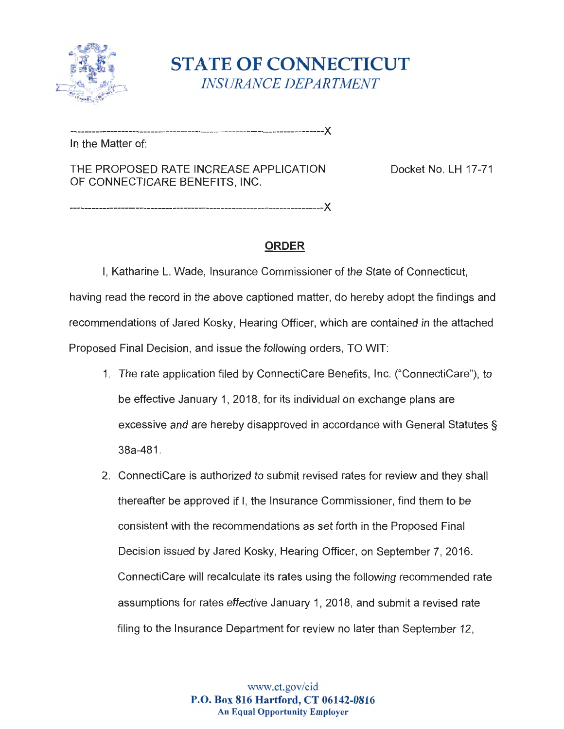

**STATE OF CONNECTICUT** *INSURANCE DEPARTMENT* 

---------------------------------------------------------------------><

---------------------------------------------------------------------><

In the Matter of:

THE PROPOSED RATE INCREASE APPLICATION Docket No. LH 17-71 OF CONNECTICARE BENEFITS , INC.

**ORDER** 

I, Katharine L. Wade, Insurance Commissioner of the State of Connecticut, having read the record in the above captioned matter, do hereby adopt the findings and recommendations of Jared Kosky, Hearing Officer, which are contained in the attached Proposed Final Decision, and issue the following orders, TO WIT:

- 1. The rate application filed by ConnectiCare Benefits, Inc. ("ConnectiCare"), to be effective January 1, 2018 , for its individual on exchange plans are excessive and are hereby disapproved in accordance with General Statutes§ 38a-481.
- 2. ConnectiCare is authorized to submit revised rates for review and they shall thereafter be approved if I, the Insurance Commissioner, find them to be consistent with the recommendations as set forth in the Proposed Final Decision issued by Jared Kosky, Hearing Officer, on September 7, 2016 . ConnectiCare will recalculate its rates using the following recommended rate assumptions for rates effective January 1, 2018 , and submit a revised rate filing to the Insurance Department for review no later than September 12,

www.ct.gov/cid **P.O. Box 816 Hartford, CT 06142-0816 An Equal Opportunity Employer**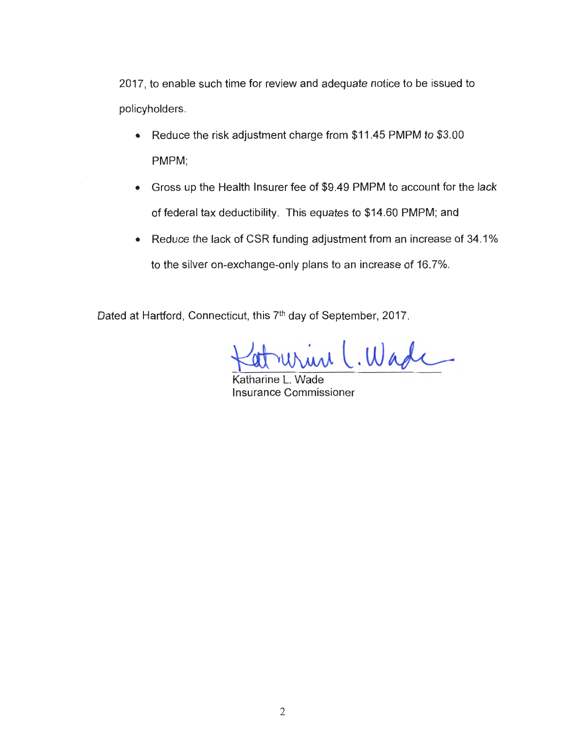2017, to enable such time for review and adequate notice to be issued to policyholders.

- Reduce the risk adjustment charge from \$11.45 PMPM to \$3.00 PMPM;
- Gross up the Health Insurer fee of \$9.49 PMPM to account for the lack of federal tax deductibility. This equates to \$14.60 PMPM; and
- Reduce the lack of CSR funding adjustment from an increase of 34.1% to the silver on-exchange-only plans to an increase of 16 .7%.

Dated at Hartford, Connecticut, this 7<sup>th</sup> day of September, 2017.

rurine C. Wade

Katharine L. Wade Insurance Commissioner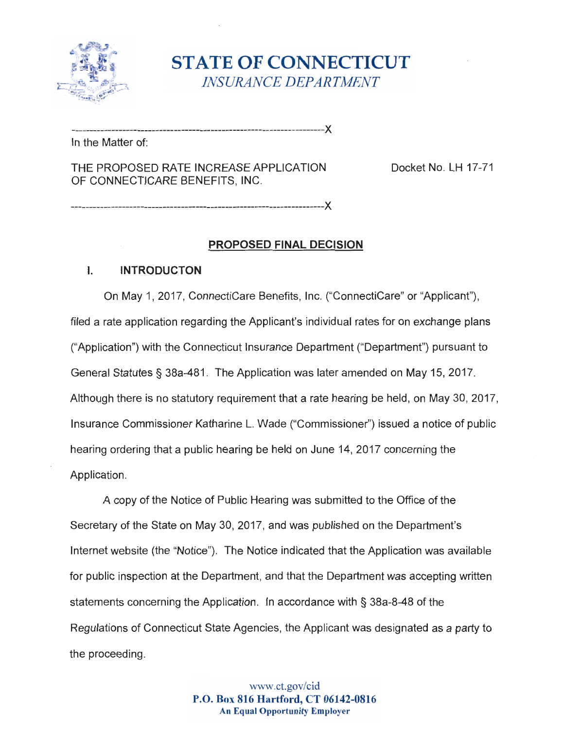

**STATE OF CONNECTICUT** *INSURANCE DEPARTMENT* 

---------------------------------------------------------------------><

In the Matter of:

THE PROPOSED RATE INCREASE APPLICATION Docket No. LH 17-71 OF CONNECTICARE BENEFITS , **INC.** 

---------------------------------------------------------------------><

### **PROPOSED FINAL DECISION**

### I. **INTRODUCTON**

On May 1, 2017 , ConnectiCare Benefits , Inc. ("ConnectiCare" or "Applicant"), filed a rate application regarding the Applicant's individual rates for on exchange plans ("Application ") with the Connecticut Insurance Department ("Department") pursuant to General Statutes§ 38a-481 . The Application was later amended on May 15, 2017. Although there is no statutory requirement that a rate hearing be held, on May 30, 2017, Insurance Commissioner Katharine L. Wade ("Commissioner") issued a notice of public hearing ordering that a public hearing be held on June 14, 2017 concerning the Application.

A copy of the Notice of Public Hearing was submitted to the Office of the Secretary of the State on May 30 , 2017 , and was published on the Department's Internet website (the "Notice"). The Notice indicated that the Application was available for public inspection at the Department, and that the Department was accepting written statements concerning the Application. In accordance with § 38a-8-48 of the Regulations of Connecticut State Agencies , the Applicant was designated as a party to the proceeding.

> www.ct. gov/cid **P.O. Box 816 Hartford, CT 06142-0816 An Equal Opportunity Employer**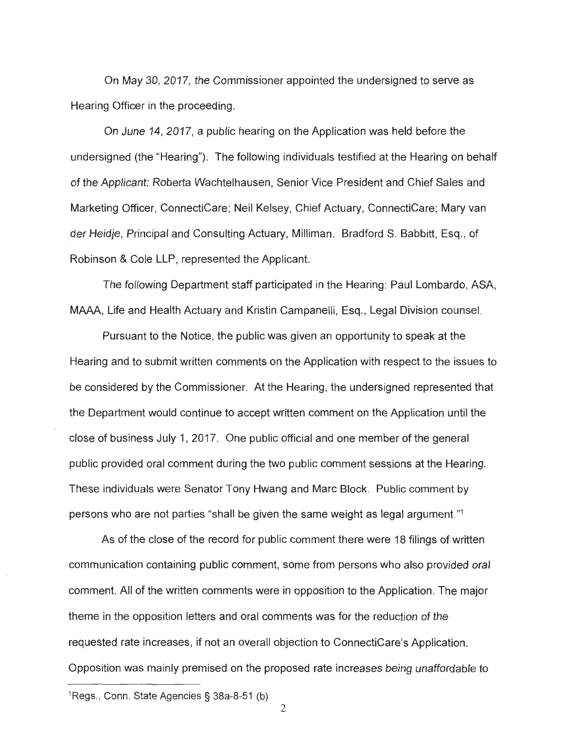On May 30 , 2017 , the Commissioner appointed the undersigned to serve as Hearing Officer in the proceeding.

On June 14 , 2017, a public hearing on the Application was held before the undersigned (the "Hearing"). The following individuals testified at the Hearing on behalf of the Applicant: Roberta Wachtelhausen, Senior Vice President and Chief Sales and Marketing Officer, ConnectiCare; Neil Kelsey, Chief Actuary, ConnectiCare; Mary van der Heidje, Principal and Consulting Actuary, Milliman. Bradford S. Babbitt, Esq., of Robinson & Cole LLP , represented the Applicant.

The following Department staff participated in the Hearing: Paul Lombardo, ASA, MAAA , Life and Health Actuary and Kristin Campanelli, Esq. , Legal Division counsel.

Pursuant to the Notice , the public was given an opportunity to speak at the Hearing and to submit written comments on the Application with respect to the issues to be considered by the Commissioner. At the Hearing, the undersigned represented that the Department would continue to accept written comment on the Application until the close of business July 1, 2017 . One public official and one member of the general public provided oral comment during the two public comment sessions at the Hearing. These individuals were Senator Tony Hwang and Marc Block. Public comment by persons who are not parties "shall be given the same weight as legal argument."<sup>1</sup>

As of the close of the record for public comment there were 18 filings of written communication containing public comment, some from persons who also provided oral comment. All of the written comments were in opposition to the Application . The major theme in the opposition letters and oral comments was for the reduction of the requested rate increases , if not an overall objection to ConnectiCare 's Application . Opposition was mainly premised on the proposed rate increases being unaffordable to

<sup>1</sup> Regs ., Conn . State Agencies§ 38a-8-51 (b)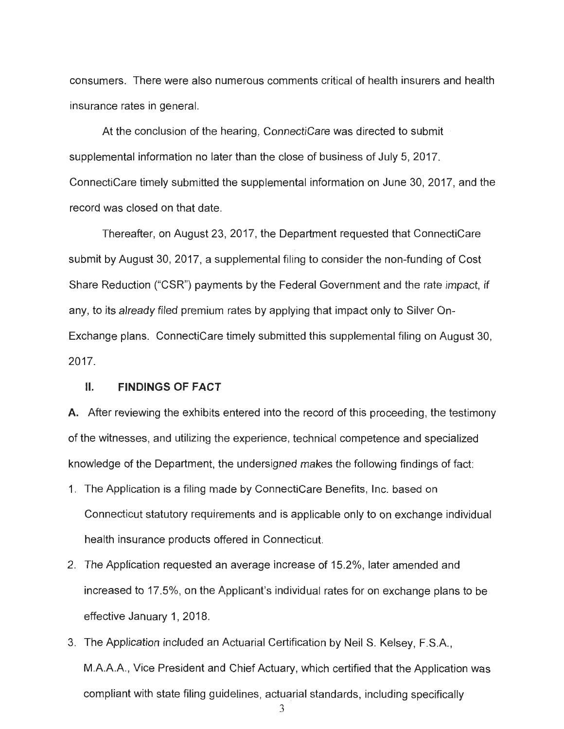consumers. There were also numerous· comments critical of health insurers and health insurance rates in general.

At the conclusion of the hearing, ConnectiCare was directed to submit supplemental information no later than the close of business of July 5, 2017. ConnectiCare timely submitted the supplemental information on June 30, 2017 , and the record was closed on that date.

Thereafter, on August 23, 2017 , the Department requested that ConnectiCare submit by August 30, 2017, a supplemental filing to consider the non-funding of Cost Share Reduction ("CSR") payments by the Federal Government and the rate impact, if any, to its already filed premium rates by applying that impact only to Silver On-Exchange plans. ConnectiCare timely submitted this supplemental filing on August 30, 2017.

### II. **FINDINGS OF FACT**

**A.** After reviewing the exhibits entered into the record of this proceeding, the testimony of the witnesses, and utilizing the experience , technical competence and specialized knowledge of the Department, the undersigned makes the following findings of fact:

- 1. The Application is a filing made by ConnectiCare Benefits, Inc. based on Connecticut statutory requirements and is applicable only to on exchange individual health insurance products offered in Connecticut.
- 2. The Application requested an average increase of 15.2%, later amended and increased to 17.5% , on the Applicant's individual rates for on exchange plans to be effective January 1, 2018.
- 3. The Application included an Actuarial Certification by Neil S. Kelsey, F.S.A., M.A.A.A., Vice President and Chief Actuary, which certified that the Application was compliant with state filing guidelines, actuarial standards, including specifically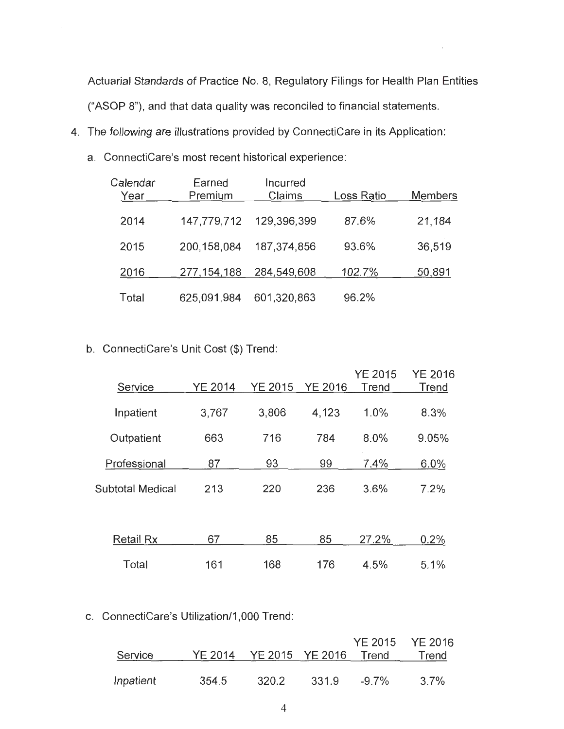Actuarial Standards of Practice No. 8, Regulatory Filings for Health Plan Entities ("ASOP 8"), and that data quality was reconciled to financial statements.

- 4. The following are illustrations provided by ConnectiCare in its Application :
	- a. ConnectiCare's most recent historical experience:

| Calendar<br>Year | Earned<br>Premium | Incurred<br>Claims | Loss Ratio | <b>Members</b> |
|------------------|-------------------|--------------------|------------|----------------|
| 2014             | 147,779,712       | 129,396,399        | 87.6%      | 21,184         |
| 2015             | 200,158,084       | 187,374,856        | 93.6%      | 36,519         |
| 2016             | 277, 154, 188     | 284,549,608        | 102.7%     | 50,891         |
| Total            | 625,091,984       | 601,320,863        | 96.2%      |                |

## b. ConnectiCare's Unit Cost (\$) Trend:

| Service                 | <b>YE 2014</b> | <b>YE 2015</b> | <b>YE 2016</b> | <b>YE 2015</b><br>Trend | <b>YE 2016</b><br>Trend |
|-------------------------|----------------|----------------|----------------|-------------------------|-------------------------|
| Inpatient               | 3,767          | 3,806          | 4,123          | 1.0%                    | 8.3%                    |
| Outpatient              | 663            | 716            | 784            | 8.0%                    | 9.05%                   |
| Professional            | 87             | 93             | 99             | 7.4%                    | 6.0%                    |
| <b>Subtotal Medical</b> | 213            | 220            | 236            | 3.6%                    | 7.2%                    |
|                         |                |                |                |                         |                         |
| <b>Retail Rx</b>        | 67             | 85             | 85             | 27.2%                   | 0.2%                    |
| Total                   | 161            | 168            | 176            | 4.5%                    | 5.1%                    |

### c. ConnectiCare's Utilization/1,000 Trend:

|           |       |                                  |       |       | YE 2015 YE 2016 |
|-----------|-------|----------------------------------|-------|-------|-----------------|
| Service   |       | YE 2014  YE 2015  YE 2016  Trend |       |       | Trend           |
|           |       |                                  |       |       |                 |
| Inpatient | 354.5 | 320.2                            | 331.9 | -9.7% | $3.7\%$         |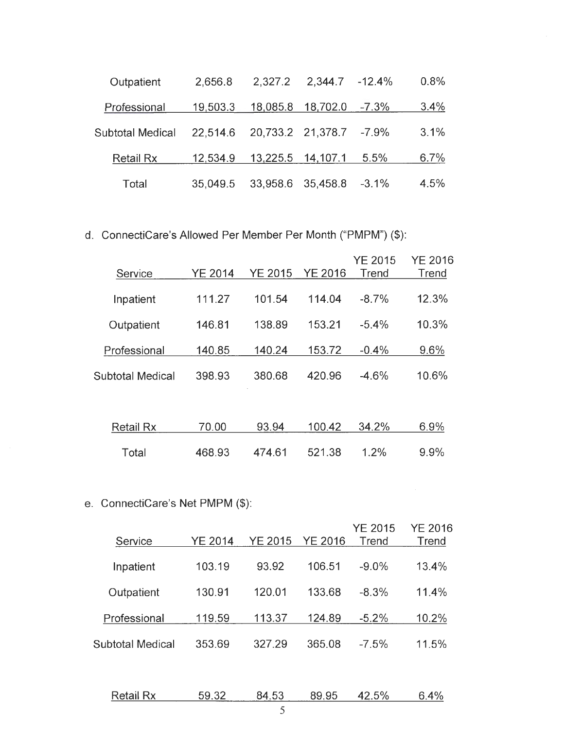| Outpatient       | 2,656.8  | 2,327.2           | $2,344.7 -12.4\%$       |          | 0.8% |
|------------------|----------|-------------------|-------------------------|----------|------|
| Professional     | 19,503.3 | 18,085.8          | 18,702.0 -7.3%          |          | 3.4% |
| Subtotal Medical | 22,514.6 |                   | 20,733.2 21,378.7 -7.9% |          | 3.1% |
| <b>Retail Rx</b> | 12,534.9 | 13,225.5 14,107.1 |                         | 5.5%     | 6.7% |
| Total            | 35.049.5 |                   | 33,958.6 35,458.8       | $-3.1\%$ | 4.5% |

d. ConnectiCare's Allowed Per Member Per Month ("PMPM") (\$):

| Service          | <b>YE 2014</b> | <b>YE 2015</b> | <b>YE 2016</b> | <b>YE 2015</b><br>Trend | <b>YE 2016</b><br>Trend |
|------------------|----------------|----------------|----------------|-------------------------|-------------------------|
| Inpatient        | 111.27         | 101.54         | 114.04         | $-8.7%$                 | 12.3%                   |
| Outpatient       | 146.81         | 138.89         | 153.21         | $-5.4%$                 | 10.3%                   |
| Professional     | 140.85         | 140.24         | 153.72         | $-0.4%$                 | 9.6%                    |
| Subtotal Medical | 398.93         | 380.68         | 420.96         | $-4.6%$                 | 10.6%                   |
|                  |                |                |                |                         |                         |
| <b>Retail Rx</b> | 70.00          | 93.94          | 100.42         | 34.2%                   | 6.9%                    |
| Total            | 468.93         | 474.61         | 521.38         | 1.2%                    | 9.9%                    |

# e. ConnectiCare's Net PMPM (\$):

| Service          | YE 2014 | YE 2015 | <b>YE 2016</b> | <b>YE 2015</b><br>Trend | YE 2016<br>Trend |
|------------------|---------|---------|----------------|-------------------------|------------------|
| Inpatient        | 103.19  | 93.92   | 106.51         | $-9.0%$                 | 13.4%            |
| Outpatient       | 130.91  | 120.01  | 133.68         | $-8.3%$                 | 11.4%            |
| Professional     | 119.59  | 113.37  | 124.89         | $-5.2\%$                | 10.2%            |
| Subtotal Medical | 353.69  | 327.29  | 365.08         | $-7.5%$                 | 11.5%            |

| $\overline{\phantom{a}}$<br><b>Retail Rx</b> | . .<br>┒◡ | UU                       | 95 | 50/<br>л.<br>70 |  |
|----------------------------------------------|-----------|--------------------------|----|-----------------|--|
|                                              |           | <b>Contract Contract</b> |    |                 |  |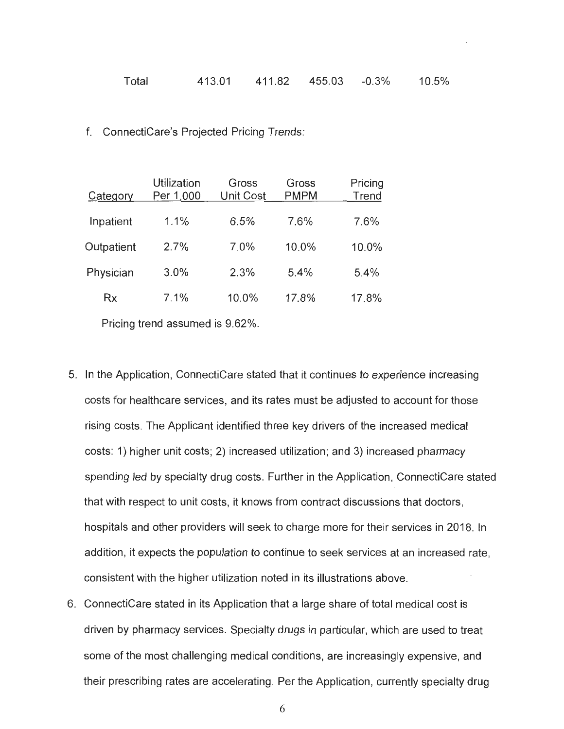| 411.82<br>Total | 413.01 | 455.03<br>$-0.3%$ | 10.5% |
|-----------------|--------|-------------------|-------|
|-----------------|--------|-------------------|-------|

### f. ConnectiCare 's Projected Pricing Trends :

| Category   | Utilization<br>Per 1,000 | Gross<br><b>Unit Cost</b> | Gross<br><b>PMPM</b> | Pricing<br>Trend |
|------------|--------------------------|---------------------------|----------------------|------------------|
| Inpatient  | 1.1%                     | 6.5%                      | 7.6%                 | 7.6%             |
| Outpatient | 2.7%                     | 7.0%                      | 10.0%                | 10.0%            |
| Physician  | 3.0%                     | 2.3%                      | 5.4%                 | 5.4%             |
| <b>Rx</b>  | 7.1%                     | 10.0%                     | 17.8%                | 17.8%            |
|            |                          |                           |                      |                  |

Pricing trend assumed is 9.62%.

- 5. In the Application, ConnectiCare stated that it continues to experience increasing costs for healthcare services, and its rates must be adjusted to account for those rising costs . The Applicant identified three key drivers of the increased medical costs: 1) higher unit costs; 2) increased utilization; and 3) increased pharmacy spending led by specialty drug costs. Further in the Application, ConnectiCare stated that with respect to unit costs, it knows from contract discussions that doctors, hospitals and other providers will seek to charge more for their services in 2018. In addition , it expects the population to continue to seek services at an increased rate , consistent with the higher utilization noted in its illustrations above.
- 6. ConnectiCare stated in its Application that a large share of total medical cost is driven by pharmacy services. Specialty drugs in particular, which are used to treat some of the most challenging medical conditions, are increasingly expensive, and their prescribing rates are accelerating. Per the Application, currently specialty drug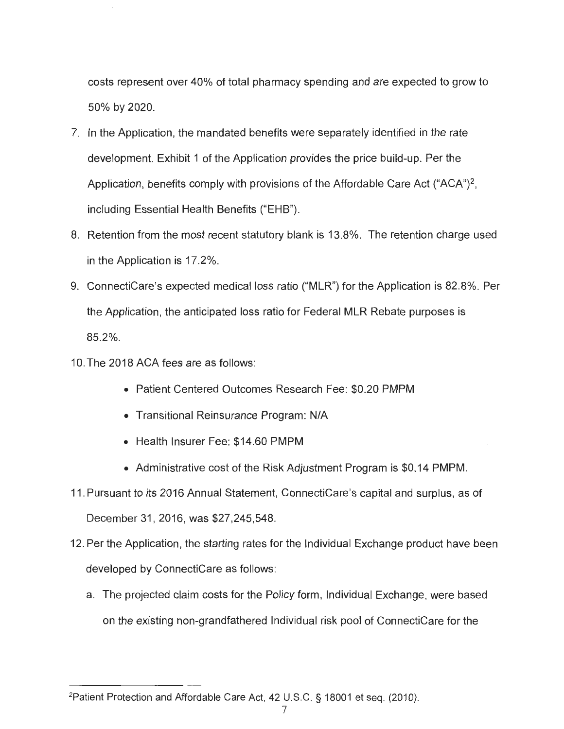costs represent over 40% of total pharmacy spending and are expected to grow to 50% by 2020.

- 7. In the Application, the mandated benefits were separately identified in the rate development. Exhibit 1 of the Application provides the price build-up. Per the Application, benefits comply with provisions of the Affordable Care Act ("ACA")<sup>2</sup>, including Essential Health Benefits ("EHB").
- 8. Retention from the most recent statutory blank is 13.8%. The retention charge used in the Application is 17.2% .
- 9. ConnectiCare's expected medical loss ratio ("MLR") for the Application is 82.8%. Per the Application, the anticipated loss ratio for Federal MLR Rebate purposes is 85.2% .
- 10. The 2018 ACA fees are as follows:
	- Patient Centered Outcomes Research Fee: \$0.20 PMPM
	- Transitional Reinsurance Program: N/A
	- Health Insurer Fee: \$14.60 PMPM
	- Administrative cost of the Risk Adjustment Program is \$0.14 PMPM.
- 11 . Pursuant to its 2016 Annual Statement, ConnectiCare's capital and surplus , as of December 31, 2016, was \$27,245,548.

- 12. Per the Application, the starting rates for the Individual Exchange product have been developed by ConnectiCare as follows:
	- a. The projected claim costs for the Policy form, Individual Exchange, were based on the existing non-grandfathered Individual risk pool of ConnectiCare for the

<sup>&</sup>lt;sup>2</sup>Patient Protection and Affordable Care Act, 42 U.S.C. § 18001 et seq. (2010).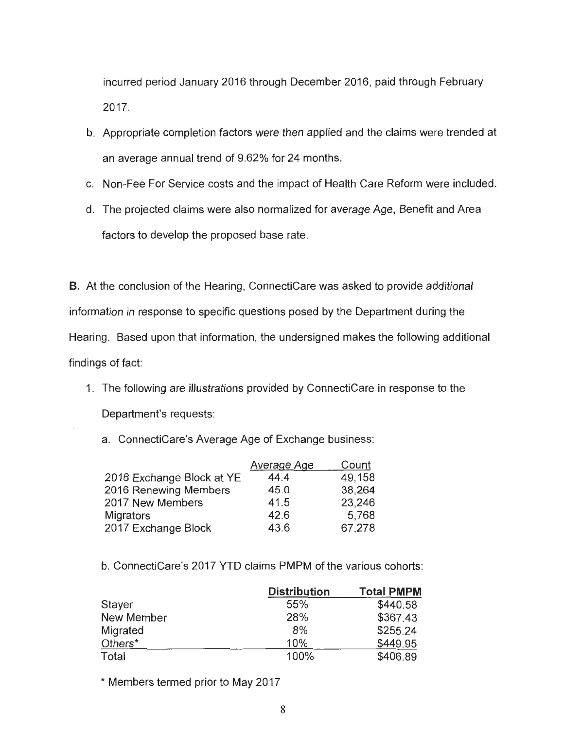incurred period January 2016 through December 2016 , paid through February 2017.

- b. Appropriate completion factors were then applied and the claims were trended at an average annual trend of 9.62% for 24 months .
- c. Non-Fee For Service costs and the impact of Health Care Reform were included .
- d. The projected claims were also normalized for average Age, Benefit and Area .factors to develop the proposed base rate.

**B.** At the conclusion of the Hearing, ConnectiCare was asked to provide additional information in response to specific questions posed by the Department during the Hearing. Based upon that information, the undersigned makes the following additional findings of fact

- 1. The following are illustrations provided by ConnectiCare in response to the Department's requests:
	- a. ConnectiCare's Average Age of Exchange business:

|                           | <b>Average Age</b> | Count  |
|---------------------------|--------------------|--------|
| 2016 Exchange Block at YE | 44.4               | 49,158 |
| 2016 Renewing Members     | 45.0               | 38,264 |
| 2017 New Members          | 41.5               | 23,246 |
| <b>Migrators</b>          | 42.6               | 5,768  |
| 2017 Exchange Block       | 43.6               | 67,278 |

b. ConnectiCare's 2017 YTD claims PMPM of the various cohorts:

|                     | <b>Distribution</b> | <b>Total PMPM</b> |
|---------------------|---------------------|-------------------|
| Stayer              | 55%                 | \$440.58          |
| New Member          | 28%                 | \$367.43          |
| Migrated            | 8%                  | \$255.24          |
| Others <sup>*</sup> | 10%                 | \$449.95          |
| Total               | 100%                | \$406.89          |

\* Members termed prior to May 2017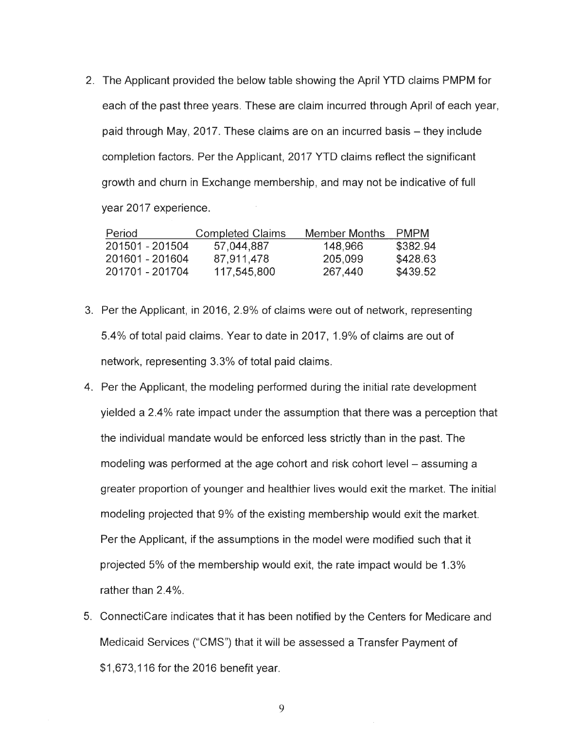2 . The Applicant provided the below table showing the April YTD claims PMPM for each of the past three years. These are claim incurred through April of each year, paid through May, 2017. These claims are on an incurred basis – they include completion factors. Per the Applicant, 2017 YTD claims reflect the significant growth and churn in Exchange membership, and may not be indicative of full year 2017 experience .

| Period          | <b>Completed Claims</b> | Member Months | <b>PMPM</b> |
|-----------------|-------------------------|---------------|-------------|
| 201501 - 201504 | 57,044,887              | 148,966       | \$382.94    |
| 201601 - 201604 | 87,911,478              | 205,099       | \$428.63    |
| 201701 - 201704 | 117,545,800             | 267,440       | \$439.52    |

- 3. Per the Applicant, in 2016, 2.9% of claims were out of network, representing 5.4% of total paid claims . Year to date in 2017 , 1.9% of claims are out of network, representing 3.3% of total paid claims.
- 4. Per the Applicant, the modeling performed during the initial rate development yielded a 2.4% rate impact under the assumption that there was a perception that the individual mandate would be enforced less strictly than in the past. The modeling was performed at the age cohort and risk cohort level – assuming a greater proportion of younger and healthier lives would exit the market. The initial modeling projected that 9% of the existing membership would exit the market. Per the Applicant, if the assumptions in the model were modified such that it projected 5% of the membership would exit, the rate impact would be 1.3% rather than 2.4%.
- 5. ConnectiCare indicates that it has been notified by the Centers for Medicare and Medicaid Services ("CMS ") that it will be assessed a Transfer Payment of \$1 ,673 ,116 for the 2016 benefit year.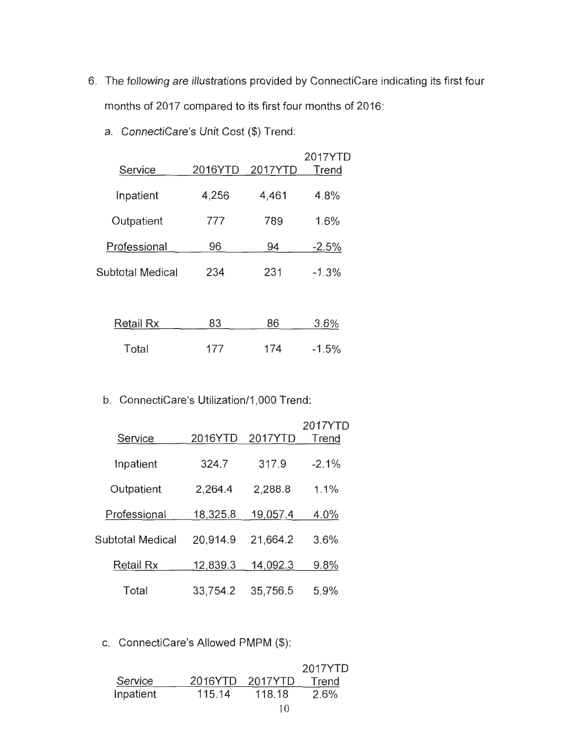- 6. The following are illustrations provided by ConnectiCare indicating its first four months of 2017 compared to its first four months of 2016:
	- a. ConnectiCare's Unit Cost (\$) Trend:

|                  |         |         | 2017YTD |
|------------------|---------|---------|---------|
| Service          | 2016YTD | 2017YTD | Trend   |
|                  |         |         |         |
| Inpatient        | 4,256   | 4,461   | 4.8%    |
|                  |         |         |         |
| Outpatient       | 777     | 789     | 1.6%    |
|                  |         |         |         |
| Professional     | 96      | 94      | $-2.5%$ |
|                  |         |         |         |
| Subtotal Medical | 234     | 231     | $-1.3%$ |
|                  |         |         |         |
|                  |         |         |         |
|                  |         |         |         |

| Retail Rx | 83  | 86  | 3.6%     |
|-----------|-----|-----|----------|
| Total     | 177 | 174 | $-1.5\%$ |

b. ConnectiCare's Utilization/1,000 Trend:

| Service                 | 2016YTD  | 2017YTD  | 2017YTD<br>Trend |
|-------------------------|----------|----------|------------------|
| Inpatient               | 324.7    | 317.9    | $-2.1\%$         |
| Outpatient              | 2,264.4  | 2,288.8  | $1.1\%$          |
| Professional            | 18,325.8 | 19,057.4 | 4.0%             |
| <b>Subtotal Medical</b> | 20,914.9 | 21,664.2 | 3.6%             |
| Retail Rx               | 12,839.3 | 14,092.3 | $9.8\%$          |
| Total                   | 33,754.2 | 35,756.5 | 5.9%             |

c. ConnectiCare's Allowed PMPM (\$):

|           |         |         | 2017YTD |
|-----------|---------|---------|---------|
| Service   | 2016YTD | 2017YTD | Trend   |
| Inpatient | 115.14  | 118.18  | 2.6%    |
|           |         | 10      |         |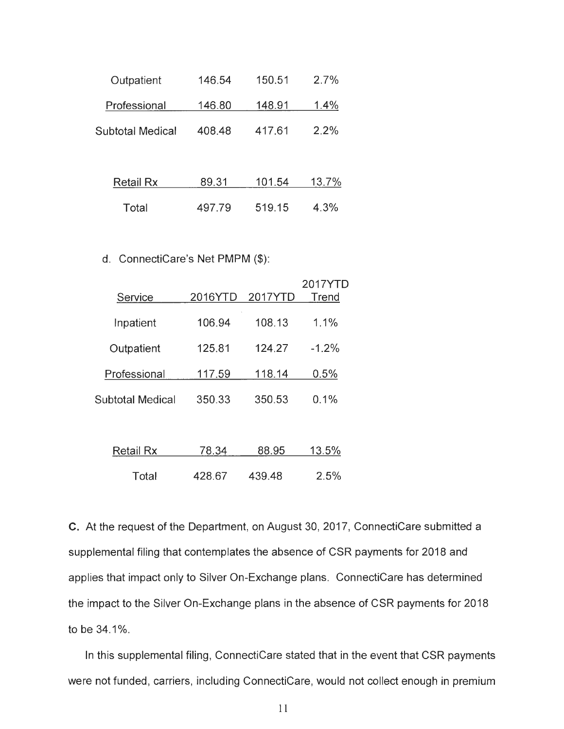| Outpatient       | 146.54 | 150.51 | 2.7%    |
|------------------|--------|--------|---------|
| Professional     | 146.80 | 148.91 | 1.4%    |
| Subtotal Medical | 408.48 | 417.61 | $2.2\%$ |
|                  |        |        |         |
| <b>Retail Rx</b> | 89.31  | 101.54 | 13.7%   |
| Total            | 497.79 | 519.15 | 4.3%    |

### d. ConnectiCare's Net PMPM (\$):

| Service          | 2016YTD | 2017YTD | 2017YTD<br>Trend |
|------------------|---------|---------|------------------|
| Inpatient        | 106.94  | 108.13  | 1.1%             |
| Outpatient       | 125.81  | 124.27  | $-1.2%$          |
| Professional     | 117.59  | 118.14  | 0.5%             |
| Subtotal Medical | 350.33  | 350.53  | $0.1\%$          |

| Retail Rx | 78.34  | 88.95  | 13.5% |
|-----------|--------|--------|-------|
| Total     | 428.67 | 439.48 | 2.5%  |

C. At the request of the Department, on August 30, 2017, ConnectiCare submitted a supplemental filing that contemplates the absence of CSR payments for 2018 and applies that impact only to Silver On-Exchange plans. ConnectiCare has determined the impact to the Silver On-Exchange plans in the absence of CSR payments for 2018 to be 34.1%.

In this supplemental filing, ConnectiCare stated that in the event that CSR payments were not funded, carriers, including ConnectiCare, would not collect enough in premium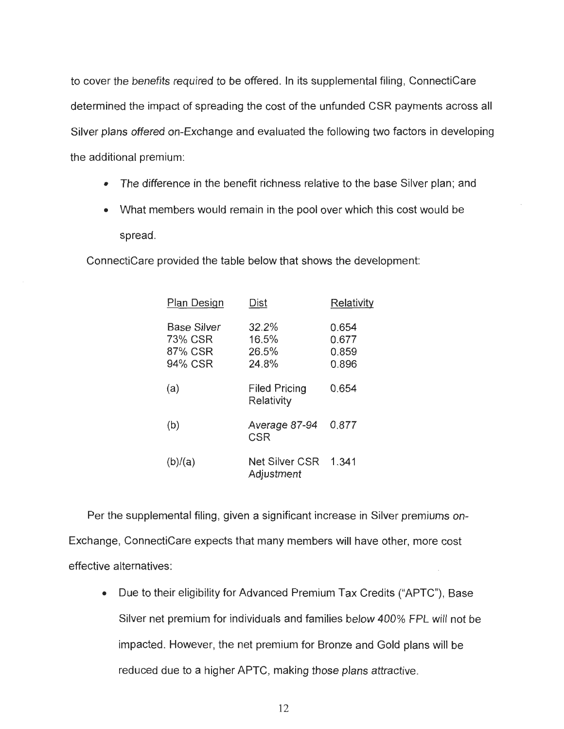to cover the benefits required to be offered. In its supplemental filing, ConnectiCare determined the impact of spreading the cost of the unfunded CSR payments across all Silver plans offered on-Exchange and evaluated the following two factors in developing the additional premium:

- The difference in the benefit richness relative to the base Silver plan; and
- What members would remain in the pool over which this cost would be spread.

ConnectiCare provided the table below that shows the development:

| Plan Design                                         | Dist                               | Relativity                       |
|-----------------------------------------------------|------------------------------------|----------------------------------|
| <b>Base Silver</b><br>73% CSR<br>87% CSR<br>94% CSR | 32.2%<br>16.5%<br>26.5%<br>24.8%   | 0.654<br>0.677<br>0.859<br>0.896 |
| (a)                                                 | <b>Filed Pricing</b><br>Relativity | 0.654                            |
| (b)                                                 | Average 87-94<br><b>CSR</b>        | 0.877                            |
| (b)/(a)                                             | Net Silver CSR<br>Adjustment       | 1.341                            |

Per the supplemental filing, given a significant increase in Silver premiums on-Exchange, ConnectiCare expects that many members will have other, more cost effective alternatives :

• Due to their eligibility for Advanced Premium Tax Credits ("APTC"), Base Silver net premium for individuals and families below 400% FPL will not be impacted. However, the net premium for Bronze and Gold plans will be reduced due to a higher APTC, making those plans attractive.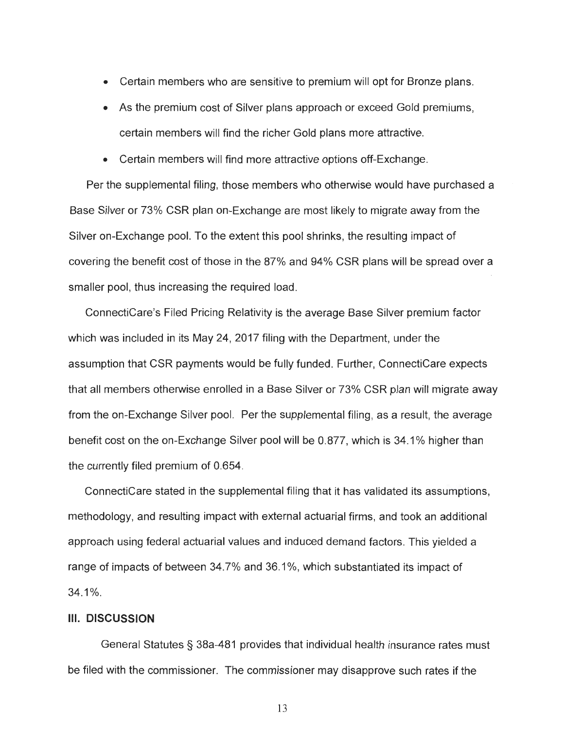- Certain members who are sensitive to premium will opt for Bronze plans.
- As the premium cost of Silver plans approach or exceed Gold premiums, certain members will find the richer Gold plans more attractive.
- Certain members will find more attractive options off-Exchange.

Per the supplemental filing, those members who otherwise would have purchased a Base Silver or 73% CSR plan on-Exchange are most likely to migrate away from the Silver on-Exchange pool. To the extent this pool shrinks , the resulting impact of covering the benefit cost of those in the 87% and 94% CSR plans will be spread over a smaller pool, thus increasing the required load.

ConnectiCare's Filed Pricing Relativity is the average Base Silver premium factor which was included in its May 24, 2017 filing with the Department, under the assumption that CSR payments would be fully funded. Further, ConnectiCare expects that all members otherwise enrolled in a Base Silver or 73% CSR plan will migrate away from the on-Exchange Silver pool. Per the supplemental filing, as a result, the average benefit cost on the on-Exchange Silver pool will be 0.877 , which is 34 .1 % higher than the currently filed premium of 0.654.

ConnectiCare stated in the supplemental filing that it has validated its assumptions, methodology, and resulting impact with external actuarial firms , and took an additional approach using federal actuarial values and induced demand factors. This yielded a range of impacts of between 34 .7% and 36.1 %, which substantiated its impact of  $34.1\%$ .

### **III. DISCUSSION**

General Statutes§ 38a -481 provides that individual health insurance rates must be filed with the commissioner. The commissioner may disapprove such rates if the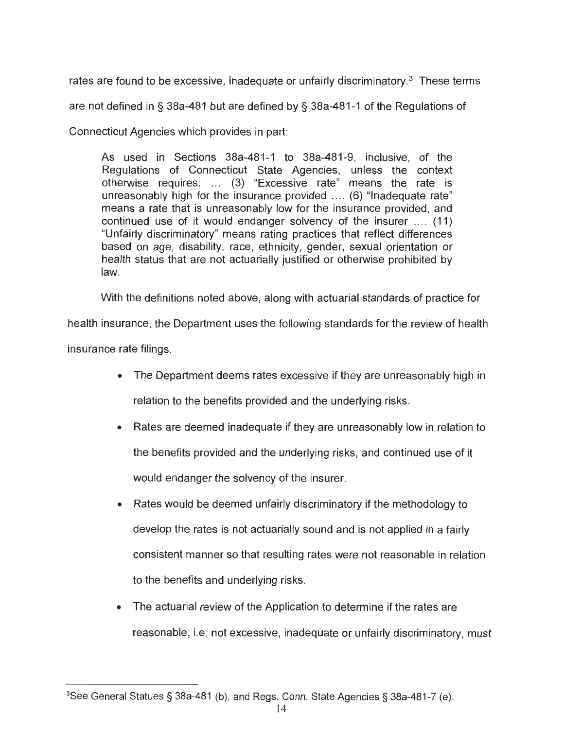rates are found to be excessive, inadequate or unfairly discriminatory.<sup>3</sup> These terms are not defined in§ 38a-481 but are defined by§ 38a-481-1 of the Regulations of Connecticut Agencies which provides in part:

As used in Sections 38a-481-1 to 38a-481-9 , inclusive, of the Regulations of Connecticut State Agencies, unless the context otherwise requires: ... (3) "Excessive rate" means the rate is unreasonably high for the insurance provided .... (6) "Inadequate rate " means a rate that is unreasonably low for the insurance provided, and continued use of it would endanger solvency of the insurer  $\dots$  (11) "Unfairly discriminatory" means rating practices that reflect differences based on age, disability, race, ethnicity, gender, sexual orientation or health status that are not actuarially justified or otherwise prohibited by law.

With the definitions noted above, along with actuarial standards of practice for

health insurance, the Department uses the following standards for the review of health

insurance rate filings.

- The Department deems rates excessive if they are unreasonably high in relation to the benefits provided and the underlying risks.
- Rates are deemed inadequate if they are unreasonably low in relation to the benefits provided and the underlying risks, and continued use of it would endanger the solvency of the insurer.
- Rates would be deemed unfairly discriminatory if the methodology to develop the rates is not actuarially sound and is not applied in a fairly consistent manner so that resulting rates were not reasonable in relation to the benefits and underlying risks .
- The actuarial review of the Application to determine if the rates are reasonable, i.e. not excessive, inadequate or unfairly discriminatory, must

<sup>3</sup> See General Statues§ 38a-481 (b), and Regs. Conn. State Agencies§ 38a-481-7 (e) .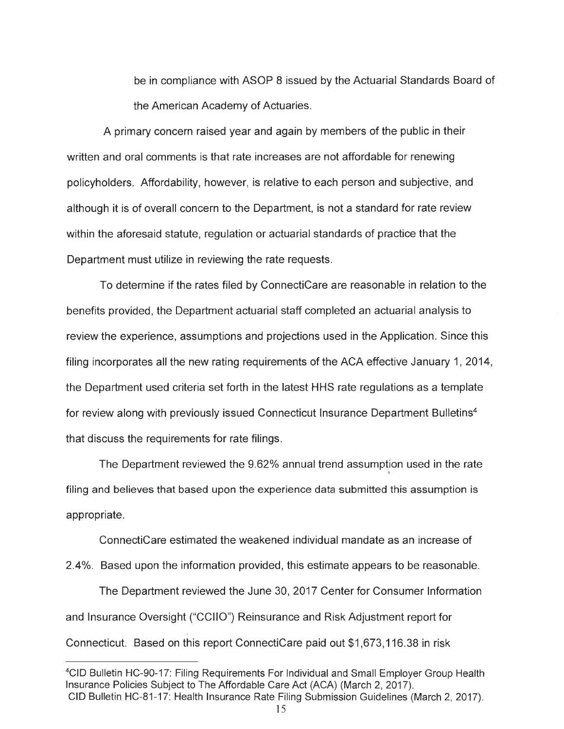be in compliance with ASOP 8 issued by the Actuarial Standards Board of the American Academy of Actuaries .

A primary concern raised year and again by members of the public in their written and oral comments is that rate increases are not affordable for renewing policyholders. Affordability, however, is relative to each person and subjective, and although it is of overall concern to the Department, is not a standard for rate review within the aforesaid statute, regulation or actuarial standards of practice that the Department must utilize in reviewing the rate requests.

To determine if the rates filed by ConnectiCare are reasonable in relation to the benefits provided , the Department actuarial staff completed an actuarial analysis to review the experience, assumptions and projections used in the Application. Since this filing incorporates all the new rating requirements of the ACA effective January 1, 2014 , the Department used criteria set forth in the latest HHS rate regulations as a template for review along with previously issued Connecticut Insurance Department Bulletins<sup>4</sup> that discuss the requirements for rate filings .

The Department reviewed the 9.62% annual trend assumption used in the rate • filing and believes that based upon the experience data submitted this assumption is appropriate .

ConnectiCare estimated the weakened individual mandate as an increase of

2.4%. Based upon the information provided , this estimate appears to be reasonable.

The Department reviewed the June 30 , 2017 Center for Consumer Information and Insurance Oversight ("CCIIO ") Reinsurance and Risk Adjustment report for Connecticut. Based on this report ConnectiCare paid out \$1 ,673 ,116 .38 in risk

<sup>4</sup> CID Bulletin HC-90-17: Filing Requirements For Individual and Small Employer Group Health Insurance Policies Subject to The Affordable Care Act (ACA) (March 2, 2017). CID Bulletin HC-81-17: Health Insurance Rate Filing Submission Guidelines (March 2, 2017).<br>15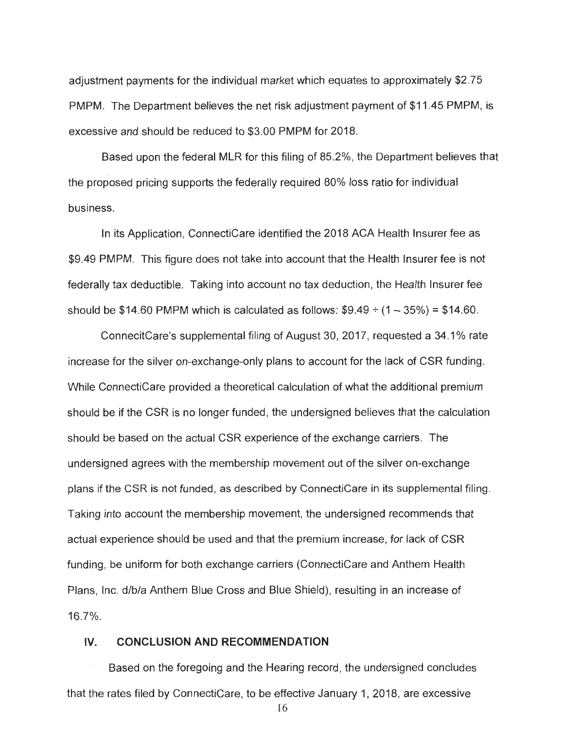adjustment payments for the individual market which equates to approximately \$2 .75 PMPM. The Department believes the net risk adjustment payment of \$11.45 PMPM, is excessive and should be reduced to \$3 .00 PMPM for 2018.

Based upon the federal MLR for this filing of 85.2% , the Department believes that the proposed pricing supports the federally required 80% loss ratio for individual business .

In its Application, ConnectiCare identified the 2018 ACA Health Insurer fee as \$9.49 PMPM. This figure does not take into account that the Health Insurer fee is not federally tax deductible. Taking into account no tax deduction, the Health Insurer fee should be \$14.60 PMPM which is calculated as follows:  $$9.49 \div (1 - 35\%) = $14.60$ .

ConnecitCare 's supplemental filing of August 30, 2017 , requested a 34.1 % rate increase for the silver on-exchange-only plans to account for the lack of CSR funding . While ConnectiCare provided a theoretical calculation of what the additional premium should be if the CSR is no longer funded , the undersigned believes that the calculation should be based on the actual CSR experience of the exchange carriers. The undersigned agrees with the membership movement out of the silver on-exchange plans if the CSR is not funded , as described by ConnectiCare in its supplemental filing. Taking into account the membership movement, the undersigned recommends that actual experience should be used and that the premium increase, for lack of CSR funding, be uniform for both exchange carriers (ConnectiCare and Anthem Health Plans , Inc . d/b/a Anthem Blue Cross and Blue Shield) , resulting in an increase of 16 .7%.

#### **IV. CONCLUSION AND RECOMMENDATION**

Based on the foregoing and the Hearing record , the undersigned concludes that the rates filed by ConnectiCare, to be effective January 1, 2018, are excessive